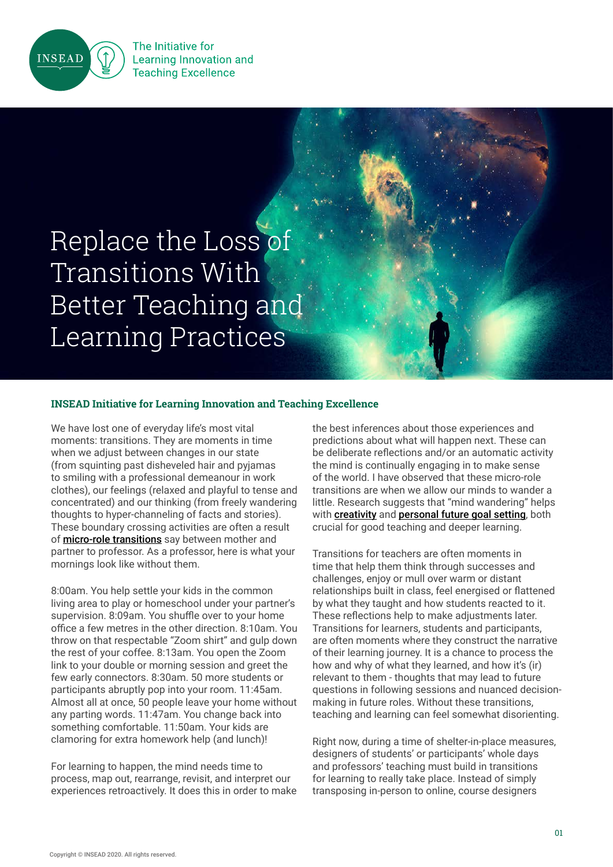

The Initiative for **Learning Innovation and Teaching Excellence** 

# Replace the Loss of Transitions With Better Teaching and Learning Practices

## **INSEAD Initiative for Learning Innovation and Teaching Excellence**

We have lost one of everyday life's most vital moments: transitions. They are moments in time when we adjust between changes in our state (from squinting past disheveled hair and pyjamas to smiling with a professional demeanour in work clothes), our feelings (relaxed and playful to tense and concentrated) and our thinking (from freely wandering thoughts to hyper-channeling of facts and stories). These boundary crossing activities are often a result of **[micro-role transitions](https://journals.aom.org/doi/full/10.5465/amr.2000.3363315)** say between mother and partner to professor. As a professor, here is what your mornings look like without them.

8:00am. You help settle your kids in the common living area to play or homeschool under your partner's supervision. 8:09am. You shuffle over to your home office a few metres in the other direction. 8:10am. You throw on that respectable "Zoom shirt" and gulp down the rest of your coffee. 8:13am. You open the Zoom link to your double or morning session and greet the few early connectors. 8:30am. 50 more students or participants abruptly pop into your room. 11:45am. Almost all at once, 50 people leave your home without any parting words. 11:47am. You change back into something comfortable. 11:50am. Your kids are clamoring for extra homework help (and lunch)!

For learning to happen, the mind needs time to process, map out, rearrange, revisit, and interpret our experiences retroactively. It does this in order to make the best inferences about those experiences and predictions about what will happen next. These can be deliberate reflections and/or an automatic activity the mind is continually engaging in to make sense of the world. I have observed that these micro-role transitions are when we allow our minds to wander a little. Research suggests that "mind wandering" helps with **[creativity](https://www.ncbi.nlm.nih.gov/pubmed/22941876)** and **[personal future goal setting](https://www.sciencedirect.com/science/article/abs/pii/S1053810011001978?via%3Dihub)**, both crucial for good teaching and deeper learning.

Transitions for teachers are often moments in time that help them think through successes and challenges, enjoy or mull over warm or distant relationships built in class, feel energised or flattened by what they taught and how students reacted to it. These reflections help to make adjustments later. Transitions for learners, students and participants, are often moments where they construct the narrative of their learning journey. It is a chance to process the how and why of what they learned, and how it's (ir) relevant to them - thoughts that may lead to future questions in following sessions and nuanced decisionmaking in future roles. Without these transitions, teaching and learning can feel somewhat disorienting.

Right now, during a time of shelter-in-place measures, designers of students' or participants' whole days and professors' teaching must build in transitions for learning to really take place. Instead of simply transposing in-person to online, course designers